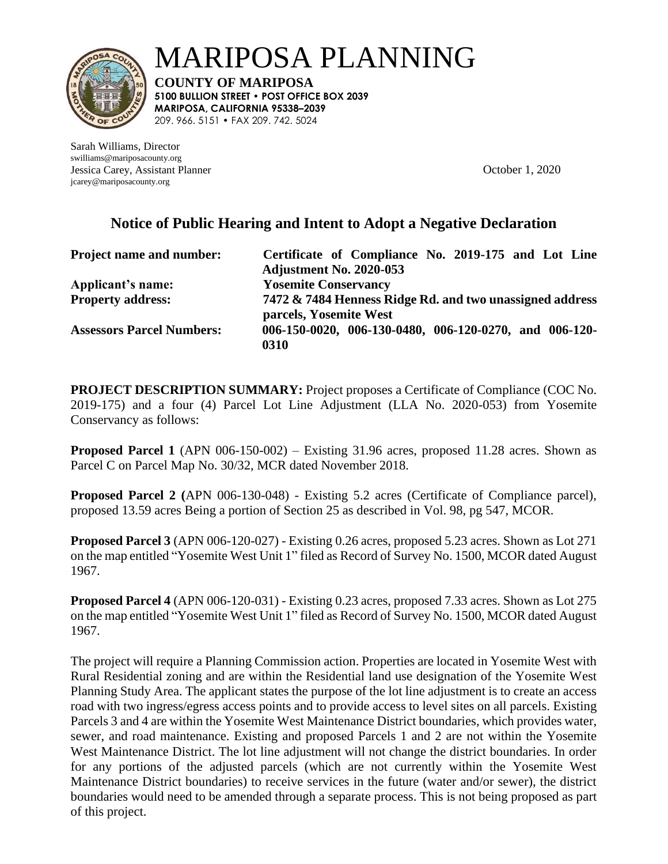

MARIPOSA PLANNING

**COUNTY OF MARIPOSA 5100 BULLION STREET • POST OFFICE BOX 2039 MARIPOSA, CALIFORNIA 95338–2039**  209. 966. 5151 • FAX 209. 742. 5024

Sarah Williams, Director swilliams@mariposacounty.org Jessica Carey, Assistant Planner October 1, 2020 jcarey@mariposacounty.org

## **Notice of Public Hearing and Intent to Adopt a Negative Declaration**

| <b>Project name and number:</b>  | Certificate of Compliance No. 2019-175 and Lot Line                                |
|----------------------------------|------------------------------------------------------------------------------------|
|                                  | <b>Adjustment No. 2020-053</b>                                                     |
| Applicant's name:                | <b>Yosemite Conservancy</b>                                                        |
| <b>Property address:</b>         | 7472 & 7484 Henness Ridge Rd. and two unassigned address<br>parcels, Yosemite West |
| <b>Assessors Parcel Numbers:</b> | 006-150-0020, 006-130-0480, 006-120-0270, and 006-120-<br>0310                     |

**PROJECT DESCRIPTION SUMMARY:** Project proposes a Certificate of Compliance (COC No. 2019-175) and a four (4) Parcel Lot Line Adjustment (LLA No. 2020-053) from Yosemite Conservancy as follows:

**Proposed Parcel 1** (APN 006-150-002) – Existing 31.96 acres, proposed 11.28 acres. Shown as Parcel C on Parcel Map No. 30/32, MCR dated November 2018.

**Proposed Parcel 2 (**APN 006-130-048) - Existing 5.2 acres (Certificate of Compliance parcel), proposed 13.59 acres Being a portion of Section 25 as described in Vol. 98, pg 547, MCOR.

**Proposed Parcel 3** (APN 006-120-027) - Existing 0.26 acres, proposed 5.23 acres. Shown as Lot 271 on the map entitled "Yosemite West Unit 1" filed as Record of Survey No. 1500, MCOR dated August 1967.

**Proposed Parcel 4** (APN 006-120-031) - Existing 0.23 acres, proposed 7.33 acres. Shown as Lot 275 on the map entitled "Yosemite West Unit 1" filed as Record of Survey No. 1500, MCOR dated August 1967.

The project will require a Planning Commission action. Properties are located in Yosemite West with Rural Residential zoning and are within the Residential land use designation of the Yosemite West Planning Study Area. The applicant states the purpose of the lot line adjustment is to create an access road with two ingress/egress access points and to provide access to level sites on all parcels. Existing Parcels 3 and 4 are within the Yosemite West Maintenance District boundaries, which provides water, sewer, and road maintenance. Existing and proposed Parcels 1 and 2 are not within the Yosemite West Maintenance District. The lot line adjustment will not change the district boundaries. In order for any portions of the adjusted parcels (which are not currently within the Yosemite West Maintenance District boundaries) to receive services in the future (water and/or sewer), the district boundaries would need to be amended through a separate process. This is not being proposed as part of this project.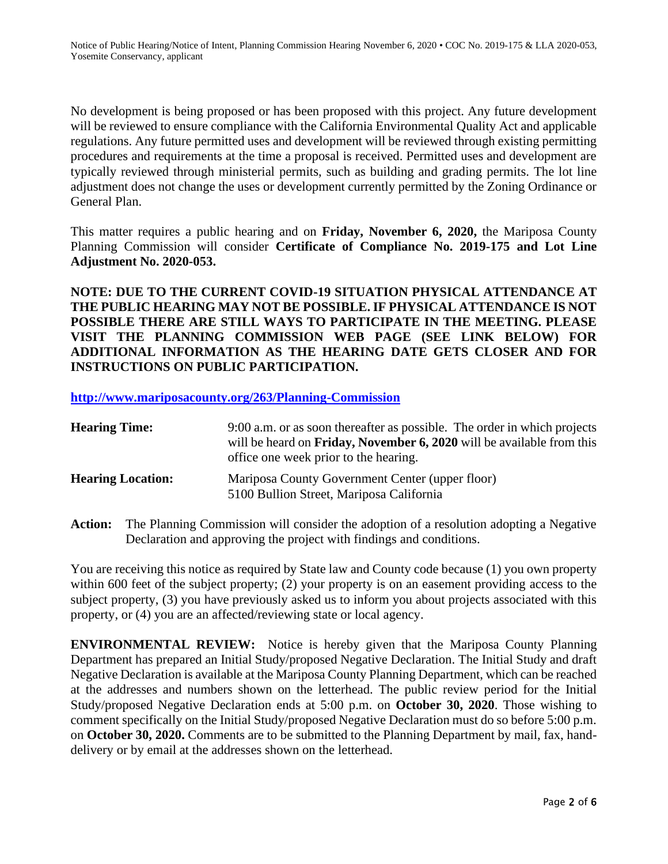No development is being proposed or has been proposed with this project. Any future development will be reviewed to ensure compliance with the California Environmental Quality Act and applicable regulations. Any future permitted uses and development will be reviewed through existing permitting procedures and requirements at the time a proposal is received. Permitted uses and development are typically reviewed through ministerial permits, such as building and grading permits. The lot line adjustment does not change the uses or development currently permitted by the Zoning Ordinance or General Plan.

This matter requires a public hearing and on **Friday, November 6, 2020,** the Mariposa County Planning Commission will consider **Certificate of Compliance No. 2019-175 and Lot Line Adjustment No. 2020-053.**

**NOTE: DUE TO THE CURRENT COVID-19 SITUATION PHYSICAL ATTENDANCE AT THE PUBLIC HEARING MAY NOT BE POSSIBLE. IF PHYSICAL ATTENDANCE IS NOT POSSIBLE THERE ARE STILL WAYS TO PARTICIPATE IN THE MEETING. PLEASE VISIT THE PLANNING COMMISSION WEB PAGE (SEE LINK BELOW) FOR ADDITIONAL INFORMATION AS THE HEARING DATE GETS CLOSER AND FOR INSTRUCTIONS ON PUBLIC PARTICIPATION.**

**<http://www.mariposacounty.org/263/Planning-Commission>**

| <b>Hearing Time:</b>     | 9:00 a.m. or as soon thereafter as possible. The order in which projects<br>will be heard on <b>Friday, November 6, 2020</b> will be available from this<br>office one week prior to the hearing. |
|--------------------------|---------------------------------------------------------------------------------------------------------------------------------------------------------------------------------------------------|
| <b>Hearing Location:</b> | Mariposa County Government Center (upper floor)<br>5100 Bullion Street, Mariposa California                                                                                                       |

**Action:** The Planning Commission will consider the adoption of a resolution adopting a Negative Declaration and approving the project with findings and conditions.

You are receiving this notice as required by State law and County code because (1) you own property within 600 feet of the subject property; (2) your property is on an easement providing access to the subject property, (3) you have previously asked us to inform you about projects associated with this property, or (4) you are an affected/reviewing state or local agency.

**ENVIRONMENTAL REVIEW:** Notice is hereby given that the Mariposa County Planning Department has prepared an Initial Study/proposed Negative Declaration. The Initial Study and draft Negative Declaration is available at the Mariposa County Planning Department, which can be reached at the addresses and numbers shown on the letterhead. The public review period for the Initial Study/proposed Negative Declaration ends at 5:00 p.m. on **October 30, 2020**. Those wishing to comment specifically on the Initial Study/proposed Negative Declaration must do so before 5:00 p.m. on **October 30, 2020.** Comments are to be submitted to the Planning Department by mail, fax, handdelivery or by email at the addresses shown on the letterhead.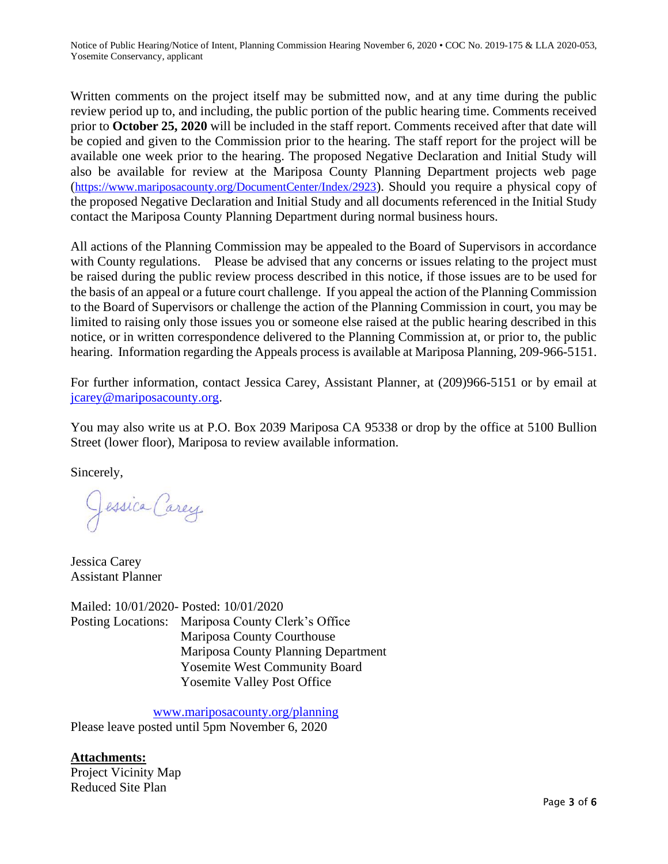Notice of Public Hearing/Notice of Intent, Planning Commission Hearing November 6, 2020 • COC No. 2019-175 & LLA 2020-053, Yosemite Conservancy, applicant

Written comments on the project itself may be submitted now, and at any time during the public review period up to, and including, the public portion of the public hearing time. Comments received prior to **October 25, 2020** will be included in the staff report. Comments received after that date will be copied and given to the Commission prior to the hearing. The staff report for the project will be available one week prior to the hearing. The proposed Negative Declaration and Initial Study will also be available for review at the Mariposa County Planning Department projects web page (<https://www.mariposacounty.org/DocumentCenter/Index/2923>). Should you require a physical copy of the proposed Negative Declaration and Initial Study and all documents referenced in the Initial Study contact the Mariposa County Planning Department during normal business hours.

All actions of the Planning Commission may be appealed to the Board of Supervisors in accordance with County regulations. Please be advised that any concerns or issues relating to the project must be raised during the public review process described in this notice, if those issues are to be used for the basis of an appeal or a future court challenge. If you appeal the action of the Planning Commission to the Board of Supervisors or challenge the action of the Planning Commission in court, you may be limited to raising only those issues you or someone else raised at the public hearing described in this notice, or in written correspondence delivered to the Planning Commission at, or prior to, the public hearing. Information regarding the Appeals process is available at Mariposa Planning, 209-966-5151.

For further information, contact Jessica Carey, Assistant Planner, at (209)966-5151 or by email at icarey@mariposacounty.org.

You may also write us at P.O. Box 2039 Mariposa CA 95338 or drop by the office at 5100 Bullion Street (lower floor), Mariposa to review available information.

Sincerely,

Jessica Carey

Jessica Carey Assistant Planner

Mailed: 10/01/2020- Posted: 10/01/2020 Posting Locations: Mariposa County Clerk's Office Mariposa County Courthouse Mariposa County Planning Department Yosemite West Community Board Yosemite Valley Post Office

[www.mariposacounty.org/planning](http://www.mariposacounty.org/planning) Please leave posted until 5pm November 6, 2020

**Attachments:** Project Vicinity Map Reduced Site Plan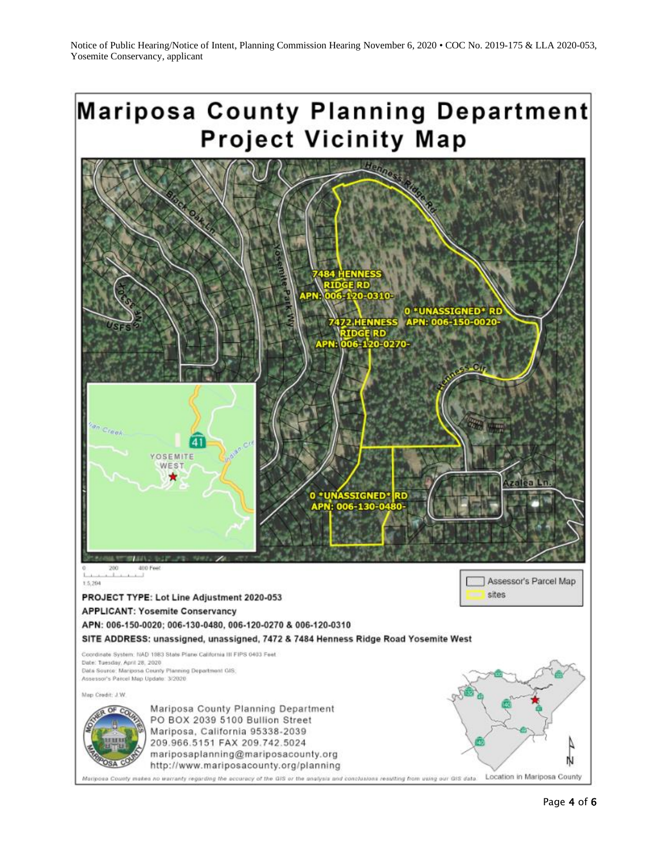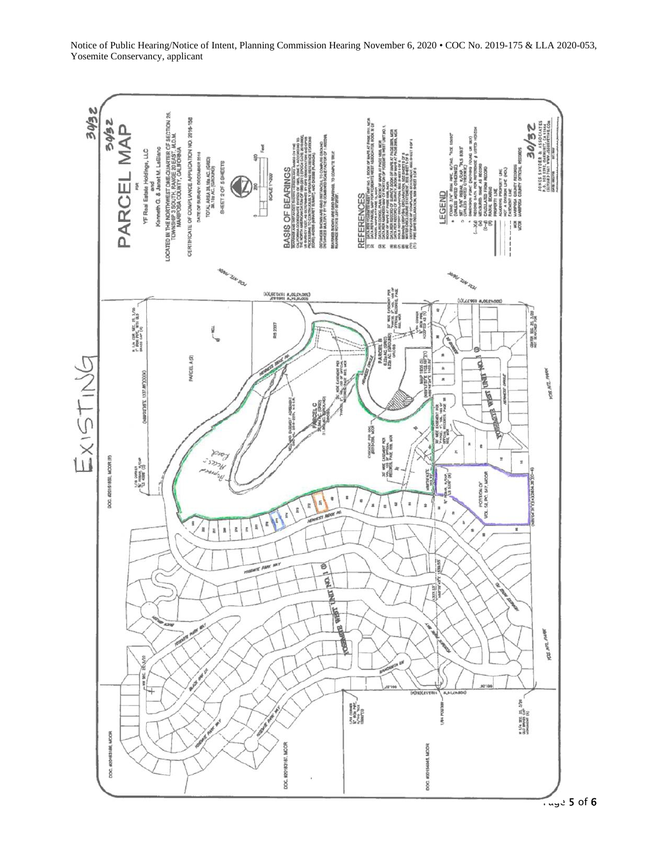

Notice of Public Hearing/Notice of Intent, Planning Commission Hearing November 6, 2020 • COC No. 2019-175 & LLA 2020-053, Yosemite Conservancy, applicant

 $T_{\text{avg}}$  5 of 6